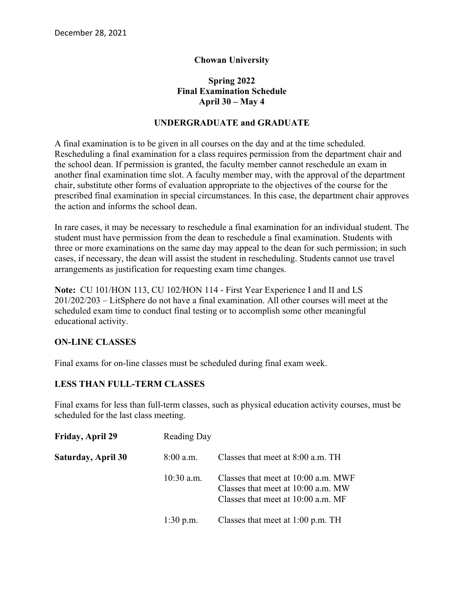# **Chowan University**

# **Spring 2022 Final Examination Schedule April 30 – May 4**

### **UNDERGRADUATE and GRADUATE**

A final examination is to be given in all courses on the day and at the time scheduled. Rescheduling a final examination for a class requires permission from the department chair and the school dean. If permission is granted, the faculty member cannot reschedule an exam in another final examination time slot. A faculty member may, with the approval of the department chair, substitute other forms of evaluation appropriate to the objectives of the course for the prescribed final examination in special circumstances. In this case, the department chair approves the action and informs the school dean.

In rare cases, it may be necessary to reschedule a final examination for an individual student. The student must have permission from the dean to reschedule a final examination. Students with three or more examinations on the same day may appeal to the dean for such permission; in such cases, if necessary, the dean will assist the student in rescheduling. Students cannot use travel arrangements as justification for requesting exam time changes.

**Note:** CU 101/HON 113, CU 102/HON 114 - First Year Experience I and II and LS 201/202/203 – LitSphere do not have a final examination. All other courses will meet at the scheduled exam time to conduct final testing or to accomplish some other meaningful educational activity.

### **ON-LINE CLASSES**

Final exams for on-line classes must be scheduled during final exam week.

### **LESS THAN FULL-TERM CLASSES**

Final exams for less than full-term classes, such as physical education activity courses, must be scheduled for the last class meeting.

| Friday, April 29          | <b>Reading Day</b> |                                                                                                                 |
|---------------------------|--------------------|-----------------------------------------------------------------------------------------------------------------|
| <b>Saturday, April 30</b> | $8:00$ a.m.        | Classes that meet at 8:00 a.m. TH                                                                               |
|                           | $10:30$ a.m.       | Classes that meet at 10:00 a.m. MWF<br>Classes that meet at 10:00 a.m. MW<br>Classes that meet at 10:00 a.m. MF |
|                           | $1:30$ p.m.        | Classes that meet at 1:00 p.m. TH                                                                               |